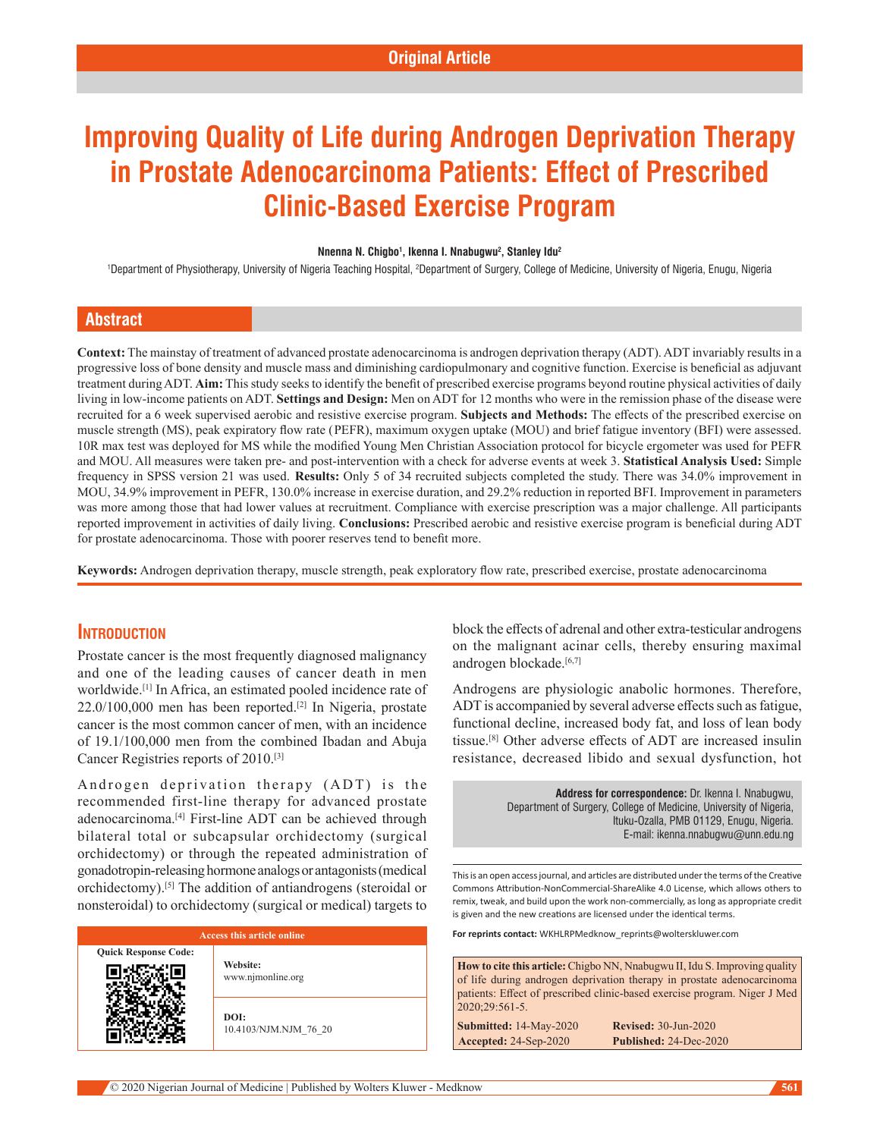# **Improving Quality of Life during Androgen Deprivation Therapy in Prostate Adenocarcinoma Patients: Effect of Prescribed Clinic-Based Exercise Program**

#### **Nnenna N. Chigbo1 , Ikenna I. Nnabugwu2 , Stanley Idu2**

'Department of Physiotherapy, University of Nigeria Teaching Hospital, <sup>2</sup>Department of Surgery, College of Medicine, University of Nigeria, Enugu, Nigeria

## **Abstract**

**Context:** The mainstay of treatment of advanced prostate adenocarcinoma is androgen deprivation therapy (ADT). ADT invariably results in a progressive loss of bone density and muscle mass and diminishing cardiopulmonary and cognitive function. Exercise is beneficial as adjuvant treatment during ADT. **Aim:** This study seeks to identify the benefit of prescribed exercise programs beyond routine physical activities of daily living in low‑income patients on ADT. **Settings and Design:** Men on ADT for 12 months who were in the remission phase of the disease were recruited for a 6 week supervised aerobic and resistive exercise program. **Subjects and Methods:** The effects of the prescribed exercise on muscle strength (MS), peak expiratory flow rate (PEFR), maximum oxygen uptake (MOU) and brief fatigue inventory (BFI) were assessed. 10R max test was deployed for MS while the modified Young Men Christian Association protocol for bicycle ergometer was used for PEFR and MOU. All measures were taken pre‑ and post‑intervention with a check for adverse events at week 3. **Statistical Analysis Used:** Simple frequency in SPSS version 21 was used. **Results:** Only 5 of 34 recruited subjects completed the study. There was 34.0% improvement in MOU, 34.9% improvement in PEFR, 130.0% increase in exercise duration, and 29.2% reduction in reported BFI. Improvement in parameters was more among those that had lower values at recruitment. Compliance with exercise prescription was a major challenge. All participants reported improvement in activities of daily living. **Conclusions:** Prescribed aerobic and resistive exercise program is beneficial during ADT for prostate adenocarcinoma. Those with poorer reserves tend to benefit more.

**Keywords:** Androgen deprivation therapy, muscle strength, peak exploratory flow rate, prescribed exercise, prostate adenocarcinoma

## **Introduction**

Qui

Prostate cancer is the most frequently diagnosed malignancy and one of the leading causes of cancer death in men worldwide.[1] In Africa, an estimated pooled incidence rate of 22.0/100,000 men has been reported.[2] In Nigeria, prostate cancer is the most common cancer of men, with an incidence of 19.1/100,000 men from the combined Ibadan and Abuja Cancer Registries reports of 2010.[3]

Androgen deprivation therapy  $(ADT)$  is the recommended first-line therapy for advanced prostate adenocarcinoma.[4] First-line ADT can be achieved through bilateral total or subcapsular orchidectomy (surgical orchidectomy) or through the repeated administration of gonadotropin‑releasing hormone analogs or antagonists(medical orchidectomy).[5] The addition of antiandrogens (steroidal or nonsteroidal) to orchidectomy (surgical or medical) targets to

| <b>Access this article online</b> |                               |  |
|-----------------------------------|-------------------------------|--|
| <b>Juick Response Code:</b>       | Website:<br>www.njmonline.org |  |
|                                   | DOI:<br>10.4103/NJM.NJM 76 20 |  |

block the effects of adrenal and other extra-testicular androgens on the malignant acinar cells, thereby ensuring maximal androgen blockade.<sup>[6,7]</sup>

Androgens are physiologic anabolic hormones. Therefore, ADT is accompanied by several adverse effects such as fatigue, functional decline, increased body fat, and loss of lean body tissue.[8] Other adverse effects of ADT are increased insulin resistance, decreased libido and sexual dysfunction, hot

> **Address for correspondence:** Dr. Ikenna I. Nnabugwu, Department of Surgery, College of Medicine, University of Nigeria, Ituku-Ozalla, PMB 01129, Enugu, Nigeria. E-mail: ikenna.nnabugwu@unn.edu.ng

This is an open access journal, and articles are distributed under the terms of the Creative Commons Attribution‑NonCommercial‑ShareAlike 4.0 License, which allows others to remix, tweak, and build upon the work non‑commercially, as long as appropriate credit is given and the new creations are licensed under the identical terms.

**For reprints contact:** WKHLRPMedknow\_reprints@wolterskluwer.com

**How to cite this article:** Chigbo NN, Nnabugwu II, Idu S. Improving quality of life during androgen deprivation therapy in prostate adenocarcinoma patients: Effect of prescribed clinic-based exercise program. Niger J Med 2020;29:561-5.

**Submitted:** 14‑May‑2020 **Revised:** 30-Jun-2020 **Accepted:** 24‑Sep‑2020 **Published:** 24-Dec-2020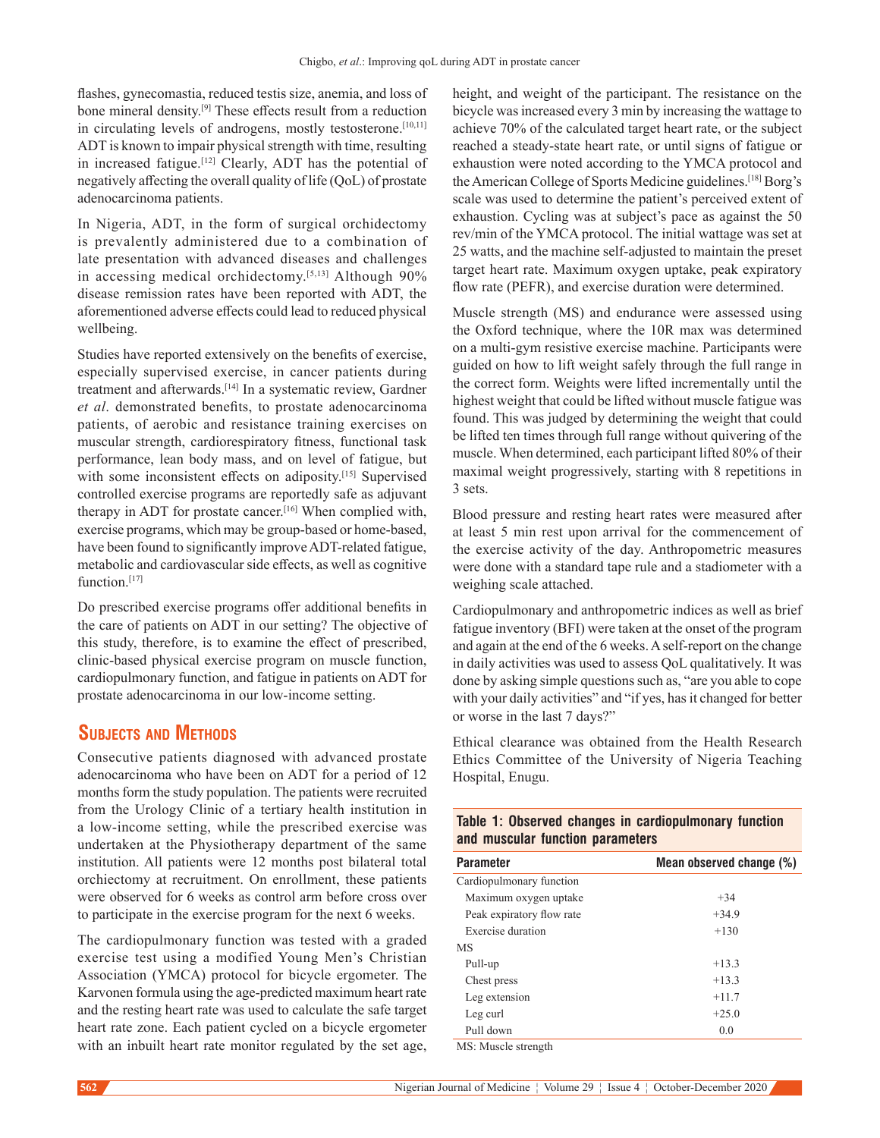flashes, gynecomastia, reduced testis size, anemia, and loss of bone mineral density.[9] These effects result from a reduction in circulating levels of androgens, mostly testosterone.<sup>[10,11]</sup> ADT is known to impair physical strength with time, resulting in increased fatigue.[12] Clearly, ADT has the potential of negatively affecting the overall quality of life (QoL) of prostate adenocarcinoma patients.

In Nigeria, ADT, in the form of surgical orchidectomy is prevalently administered due to a combination of late presentation with advanced diseases and challenges in accessing medical orchidectomy.<sup>[5,13]</sup> Although 90% disease remission rates have been reported with ADT, the aforementioned adverse effects could lead to reduced physical wellbeing.

Studies have reported extensively on the benefits of exercise, especially supervised exercise, in cancer patients during treatment and afterwards.[14] In a systematic review, Gardner *et al*. demonstrated benefits, to prostate adenocarcinoma patients, of aerobic and resistance training exercises on muscular strength, cardiorespiratory fitness, functional task performance, lean body mass, and on level of fatigue, but with some inconsistent effects on adiposity.<sup>[15]</sup> Supervised controlled exercise programs are reportedly safe as adjuvant therapy in ADT for prostate cancer.<sup>[16]</sup> When complied with, exercise programs, which may be group-based or home-based, have been found to significantly improve ADT-related fatigue, metabolic and cardiovascular side effects, as well as cognitive function<sup>[17]</sup>

Do prescribed exercise programs offer additional benefits in the care of patients on ADT in our setting? The objective of this study, therefore, is to examine the effect of prescribed, clinic‑based physical exercise program on muscle function, cardiopulmonary function, and fatigue in patients on ADT for prostate adenocarcinoma in our low‑income setting.

## **Subjects and Methods**

Consecutive patients diagnosed with advanced prostate adenocarcinoma who have been on ADT for a period of 12 months form the study population. The patients were recruited from the Urology Clinic of a tertiary health institution in a low‑income setting, while the prescribed exercise was undertaken at the Physiotherapy department of the same institution. All patients were 12 months post bilateral total orchiectomy at recruitment. On enrollment, these patients were observed for 6 weeks as control arm before cross over to participate in the exercise program for the next 6 weeks.

The cardiopulmonary function was tested with a graded exercise test using a modified Young Men's Christian Association (YMCA) protocol for bicycle ergometer. The Karvonen formula using the age‑predicted maximum heart rate and the resting heart rate was used to calculate the safe target heart rate zone. Each patient cycled on a bicycle ergometer with an inbuilt heart rate monitor regulated by the set age, height, and weight of the participant. The resistance on the bicycle was increased every 3 min by increasing the wattage to achieve 70% of the calculated target heart rate, or the subject reached a steady‑state heart rate, or until signs of fatigue or exhaustion were noted according to the YMCA protocol and the American College of Sports Medicine guidelines.[18] Borg's scale was used to determine the patient's perceived extent of exhaustion. Cycling was at subject's pace as against the 50 rev/min of the YMCA protocol. The initial wattage was set at 25 watts, and the machine self‑adjusted to maintain the preset target heart rate. Maximum oxygen uptake, peak expiratory flow rate (PEFR), and exercise duration were determined.

Muscle strength (MS) and endurance were assessed using the Oxford technique, where the 10R max was determined on a multi‑gym resistive exercise machine. Participants were guided on how to lift weight safely through the full range in the correct form. Weights were lifted incrementally until the highest weight that could be lifted without muscle fatigue was found. This was judged by determining the weight that could be lifted ten times through full range without quivering of the muscle. When determined, each participant lifted 80% of their maximal weight progressively, starting with 8 repetitions in 3 sets.

Blood pressure and resting heart rates were measured after at least 5 min rest upon arrival for the commencement of the exercise activity of the day. Anthropometric measures were done with a standard tape rule and a stadiometer with a weighing scale attached.

Cardiopulmonary and anthropometric indices as well as brief fatigue inventory (BFI) were taken at the onset of the program and again at the end of the 6 weeks. A self-report on the change in daily activities was used to assess QoL qualitatively. It was done by asking simple questions such as, "are you able to cope with your daily activities" and "if yes, has it changed for better or worse in the last 7 days?"

Ethical clearance was obtained from the Health Research Ethics Committee of the University of Nigeria Teaching Hospital, Enugu.

**Table 1: Observed changes in cardiopulmonary function** 

| and muscular function parameters |                          |  |  |
|----------------------------------|--------------------------|--|--|
| <b>Parameter</b>                 | Mean observed change (%) |  |  |
| Cardiopulmonary function         |                          |  |  |
| Maximum oxygen uptake            | $+34$                    |  |  |
| Peak expiratory flow rate        | $+34.9$                  |  |  |
| Exercise duration                | $+130$                   |  |  |
| <b>MS</b>                        |                          |  |  |
| Pull-up                          | $+13.3$                  |  |  |
| Chest press                      | $+13.3$                  |  |  |
| Leg extension                    | $+11.7$                  |  |  |
| Leg curl                         | $+25.0$                  |  |  |
| Pull down                        | 0.0                      |  |  |
| MS: Musele strenoth              |                          |  |  |

MS: Muscle strength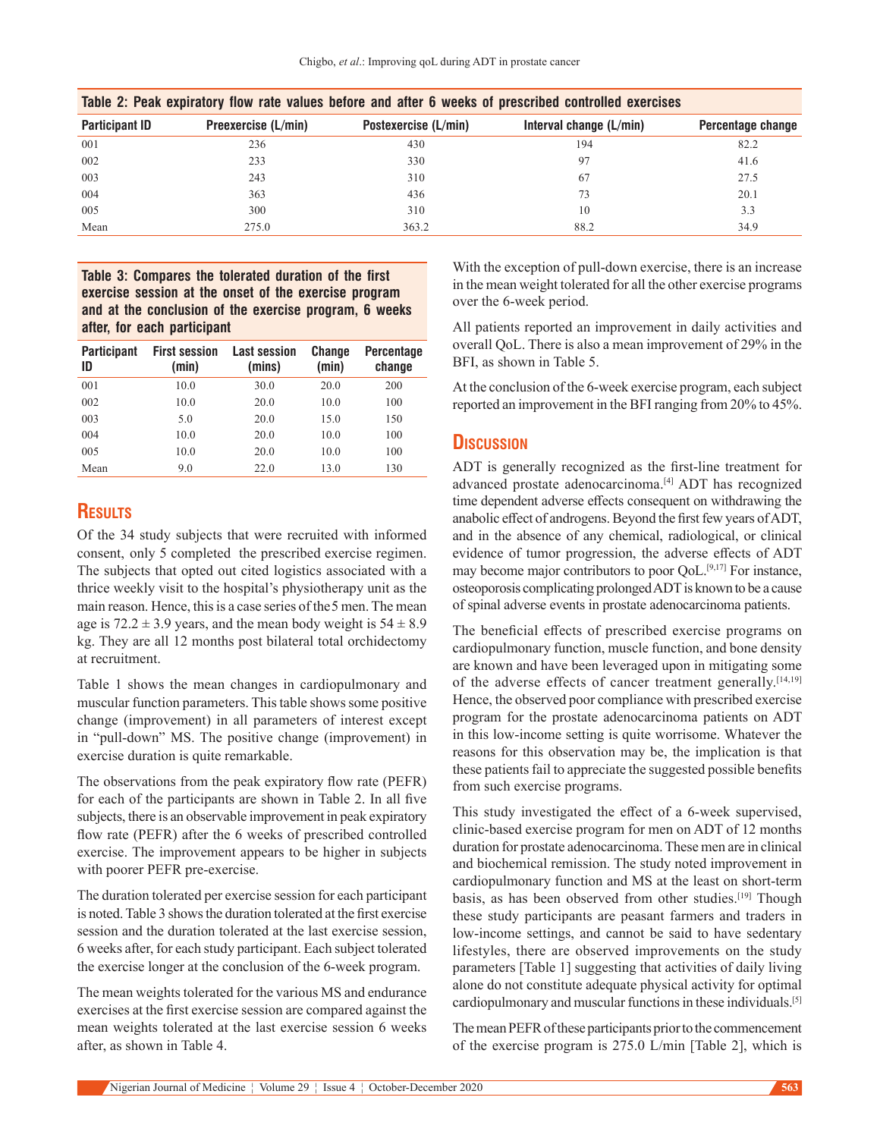| Table 2: Peak expiratory flow rate values before and after 6 weeks of prescribed controlled exercises |                     |                      |                         |                   |  |
|-------------------------------------------------------------------------------------------------------|---------------------|----------------------|-------------------------|-------------------|--|
| <b>Participant ID</b>                                                                                 | Preexercise (L/min) | Postexercise (L/min) | Interval change (L/min) | Percentage change |  |
| 001                                                                                                   | 236                 | 430                  | 194                     | 82.2              |  |
| 002                                                                                                   | 233                 | 330                  | 97                      | 41.6              |  |
| 003                                                                                                   | 243                 | 310                  | 67                      | 27.5              |  |
| 004                                                                                                   | 363                 | 436                  | 73                      | 20.1              |  |
| 005                                                                                                   | 300                 | 310                  | 10                      | 3.3               |  |
| Mean                                                                                                  | 275.0               | 363.2                | 88.2                    | 34.9              |  |

## **Table 3: Compares the tolerated duration of the first exercise session at the onset of the exercise program and at the conclusion of the exercise program, 6 weeks after, for each participant**

| <b>Participant</b><br>ID | <b>First session</b><br>(min) | <b>Last session</b><br>(mins) | <b>Change</b><br>(min) | <b>Percentage</b><br>change |
|--------------------------|-------------------------------|-------------------------------|------------------------|-----------------------------|
| 001                      | 10.0                          | 30.0                          | 20.0                   | 200                         |
| 002                      | 10.0                          | 20.0                          | 10.0                   | 100                         |
| 003                      | 5.0                           | 20.0                          | 15.0                   | 150                         |
| 004                      | 10.0                          | 20.0                          | 10.0                   | 100                         |
| 005                      | 10.0                          | 20.0                          | 10.0                   | 100                         |
| Mean                     | 9.0                           | 22.0                          | 13.0                   | 130                         |

## **Results**

Of the 34 study subjects that were recruited with informed consent,  only 5 completed the prescribed exercise regimen. The subjects that opted out cited logistics associated with a thrice weekly visit to the hospital's physiotherapy unit as the main reason. Hence, this is a case series of the 5 men. The mean age is  $72.2 \pm 3.9$  years, and the mean body weight is  $54 \pm 8.9$ kg. They are all 12 months post bilateral total orchidectomy at recruitment.

Table 1 shows the mean changes in cardiopulmonary and muscular function parameters. This table shows some positive change (improvement) in all parameters of interest except in "pull-down" MS. The positive change (improvement) in exercise duration is quite remarkable.

The observations from the peak expiratory flow rate (PEFR) for each of the participants are shown in Table 2. In all five subjects, there is an observable improvement in peak expiratory flow rate (PEFR) after the 6 weeks of prescribed controlled exercise. The improvement appears to be higher in subjects with poorer PEFR pre-exercise.

The duration tolerated per exercise session for each participant is noted. Table 3 shows the duration tolerated at the first exercise session and the duration tolerated at the last exercise session, 6 weeks after, for each study participant. Each subject tolerated the exercise longer at the conclusion of the 6‑week program.

The mean weights tolerated for the various MS and endurance exercises at the first exercise session are compared against the mean weights tolerated at the last exercise session 6 weeks after, as shown in Table 4.

With the exception of pull-down exercise, there is an increase in the mean weight tolerated for all the other exercise programs over the 6‑week period.

All patients reported an improvement in daily activities and overall QoL. There is also a mean improvement of 29% in the BFI, as shown in Table 5.

At the conclusion of the 6‑week exercise program, each subject reported an improvement in the BFI ranging from 20% to 45%.

## **Discussion**

ADT is generally recognized as the first-line treatment for advanced prostate adenocarcinoma.<sup>[4]</sup> ADT has recognized time dependent adverse effects consequent on withdrawing the anabolic effect of androgens. Beyond the first few years of ADT, and in the absence of any chemical, radiological, or clinical evidence of tumor progression, the adverse effects of ADT may become major contributors to poor QoL.<sup>[9,17]</sup> For instance, osteoporosis complicating prolonged ADT is known to be a cause of spinal adverse events in prostate adenocarcinoma patients.

The beneficial effects of prescribed exercise programs on cardiopulmonary function, muscle function, and bone density are known and have been leveraged upon in mitigating some of the adverse effects of cancer treatment generally.<sup>[14,19]</sup> Hence, the observed poor compliance with prescribed exercise program for the prostate adenocarcinoma patients on ADT in this low‑income setting is quite worrisome. Whatever the reasons for this observation may be, the implication is that these patients fail to appreciate the suggested possible benefits from such exercise programs.

This study investigated the effect of a 6‑week supervised, clinic‑based exercise program for men on ADT of 12 months duration for prostate adenocarcinoma. These men are in clinical and biochemical remission. The study noted improvement in cardiopulmonary function and MS at the least on short-term basis, as has been observed from other studies.<sup>[19]</sup> Though these study participants are peasant farmers and traders in low‑income settings, and cannot be said to have sedentary lifestyles, there are observed improvements on the study parameters [Table 1] suggesting that activities of daily living alone do not constitute adequate physical activity for optimal cardiopulmonary and muscular functions in these individuals.[5]

The mean PEFR of these participants prior to the commencement of the exercise program is 275.0 L/min [Table 2], which is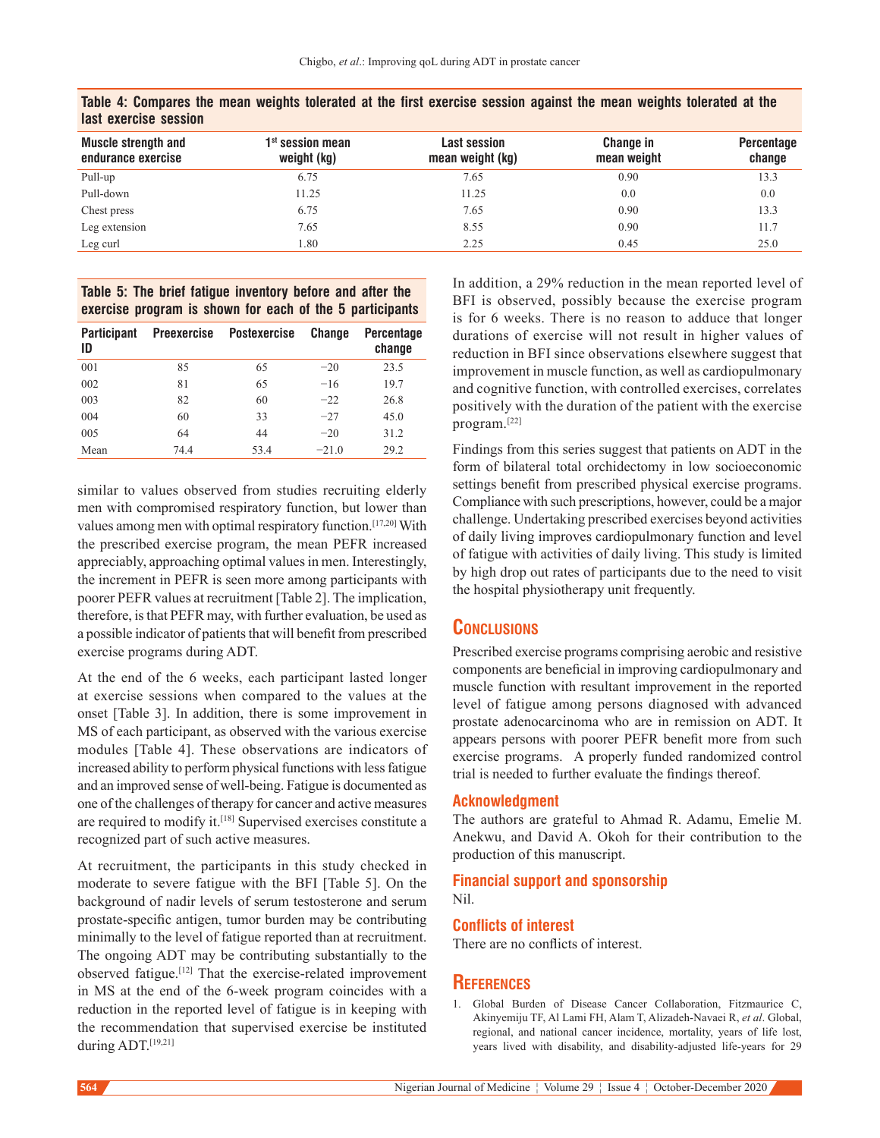| <b>Muscle strength and</b><br>endurance exercise | $1st$ session mean<br>weight (kg) | <b>Last session</b><br>mean weight (kg) | Change in<br>mean weight | Percentage<br>change |
|--------------------------------------------------|-----------------------------------|-----------------------------------------|--------------------------|----------------------|
| Pull-up                                          | 6.75                              | 7.65                                    | 0.90                     | 13.3                 |
| Pull-down                                        | 11.25                             | 11.25                                   | 0.0                      | 0.0                  |
| Chest press                                      | 6.75                              | 7.65                                    | 0.90                     | 13.3                 |
| Leg extension                                    | 7.65                              | 8.55                                    | 0.90                     | 11.7                 |
| Leg curl                                         | l.80                              | 2.25                                    | 0.45                     | 25.0                 |

**Table 4: Compares the mean weights tolerated at the first exercise session against the mean weights tolerated at the last exercise session**

## **Table 5: The brief fatigue inventory before and after the exercise program is shown for each of the 5 participants**

| <b>Participant</b><br>ID | <b>Preexercise</b> | <b>Postexercise</b> | Change  | <b>Percentage</b><br>change |
|--------------------------|--------------------|---------------------|---------|-----------------------------|
| 001                      | 85                 | 65                  | $-20$   | 23.5                        |
| 002                      | 81                 | 65                  | $-16$   | 19.7                        |
| 003                      | 82                 | 60                  | $-22$   | 26.8                        |
| 004                      | 60                 | 33                  | $-27$   | 45.0                        |
| 005                      | 64                 | 44                  | $-20$   | 31.2                        |
| Mean                     | 74.4               | 53.4                | $-21.0$ | 29.2                        |

similar to values observed from studies recruiting elderly men with compromised respiratory function, but lower than values among men with optimal respiratory function.[17,20] With the prescribed exercise program, the mean PEFR increased appreciably, approaching optimal values in men. Interestingly, the increment in PEFR is seen more among participants with poorer PEFR values at recruitment [Table 2]. The implication, therefore, is that PEFR may, with further evaluation, be used as a possible indicator of patients that will benefit from prescribed exercise programs during ADT.

At the end of the 6 weeks, each participant lasted longer at exercise sessions when compared to the values at the onset [Table 3]. In addition, there is some improvement in MS of each participant, as observed with the various exercise modules [Table 4]. These observations are indicators of increased ability to perform physical functions with less fatigue and an improved sense of well‑being. Fatigue is documented as one of the challenges of therapy for cancer and active measures are required to modify it.[18] Supervised exercises constitute a recognized part of such active measures.

At recruitment, the participants in this study checked in moderate to severe fatigue with the BFI [Table 5]. On the background of nadir levels of serum testosterone and serum prostate‑specific antigen, tumor burden may be contributing minimally to the level of fatigue reported than at recruitment. The ongoing ADT may be contributing substantially to the observed fatigue.<sup>[12]</sup> That the exercise-related improvement in MS at the end of the 6‑week program coincides with a reduction in the reported level of fatigue is in keeping with the recommendation that supervised exercise be instituted during ADT.[19,21]

In addition, a 29% reduction in the mean reported level of BFI is observed, possibly because the exercise program is for 6 weeks. There is no reason to adduce that longer durations of exercise will not result in higher values of reduction in BFI since observations elsewhere suggest that improvement in muscle function, as well as cardiopulmonary and cognitive function, with controlled exercises, correlates positively with the duration of the patient with the exercise program.[22]

Findings from this series suggest that patients on ADT in the form of bilateral total orchidectomy in low socioeconomic settings benefit from prescribed physical exercise programs. Compliance with such prescriptions, however, could be a major challenge. Undertaking prescribed exercises beyond activities of daily living improves cardiopulmonary function and level of fatigue with activities of daily living. This study is limited by high drop out rates of participants due to the need to visit the hospital physiotherapy unit frequently.

## **Conclusions**

Prescribed exercise programs comprising aerobic and resistive components are beneficial in improving cardiopulmonary and muscle function with resultant improvement in the reported level of fatigue among persons diagnosed with advanced prostate adenocarcinoma who are in remission on ADT. It appears persons with poorer PEFR benefit more from such exercise programs.   A properly funded randomized control trial is needed to further evaluate the findings thereof.

### **Acknowledgment**

The authors are grateful to Ahmad R. Adamu, Emelie M. Anekwu, and David A. Okoh for their contribution to the production of this manuscript.

#### **Financial support and sponsorship** Nil.

#### **Conflicts of interest**

There are no conflicts of interest.

## **References**

1. Global Burden of Disease Cancer Collaboration, Fitzmaurice C, Akinyemiju TF, Al Lami FH, Alam T, Alizadeh‑Navaei R, *et al*. Global, regional, and national cancer incidence, mortality, years of life lost, years lived with disability, and disability-adjusted life-years for 29